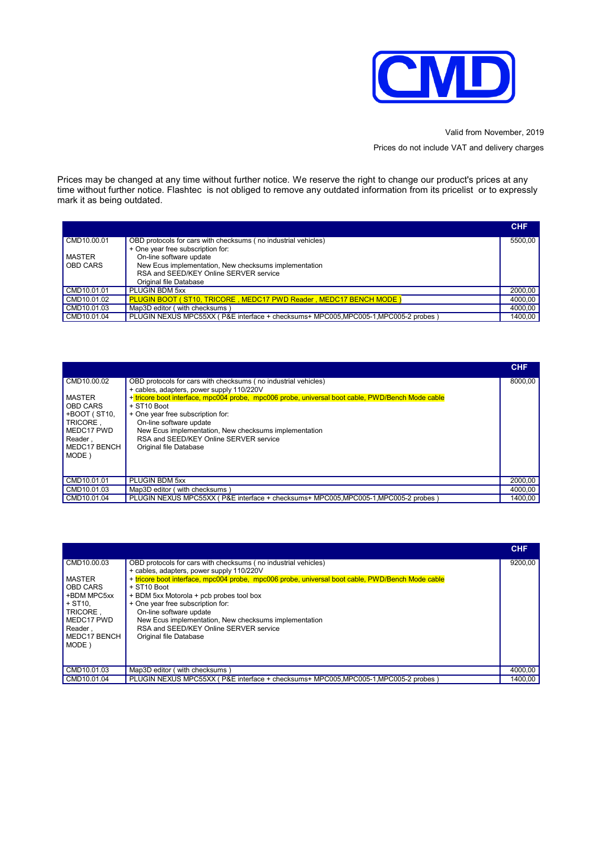

Valid from November, 2019

Prices do not include VAT and delivery charges

Prices may be changed at any time without further notice. We reserve the right to change our product's prices at any time without further notice. Flashtec is not obliged to remove any outdated information from its pricelist or to expressly mark it as being outdated.

|                 |                                                                                     | <b>CHF</b> |
|-----------------|-------------------------------------------------------------------------------------|------------|
| CMD10.00.01     | OBD protocols for cars with checksums (no industrial vehicles)                      | 5500.00    |
|                 | + One year free subscription for:                                                   |            |
| MASTER          | On-line software update                                                             |            |
| <b>OBD CARS</b> | New Ecus implementation, New checksums implementation                               |            |
|                 | RSA and SEED/KEY Online SERVER service                                              |            |
|                 | Original file Database                                                              |            |
| CMD10.01.01     | PLUGIN BDM 5xx                                                                      | 2000,00    |
| CMD10.01.02     | PLUGIN BOOT (ST10, TRICORE, MEDC17 PWD Reader, MEDC17 BENCH MODE)                   | 4000.00    |
| CMD10.01.03     | Map3D editor (with checksums                                                        | 4000,00    |
| CMD10.01.04     | PLUGIN NEXUS MPC55XX (P&E interface + checksums+ MPC005, MPC005-1, MPC005-2 probes) | 1400.00    |

|                                                                                                                               |                                                                                                                                                                                                                                                                                                                                                                                                                             | <b>CHF</b> |
|-------------------------------------------------------------------------------------------------------------------------------|-----------------------------------------------------------------------------------------------------------------------------------------------------------------------------------------------------------------------------------------------------------------------------------------------------------------------------------------------------------------------------------------------------------------------------|------------|
| CMD10.00.02<br><b>MASTER</b><br><b>OBD CARS</b><br>+BOOT (ST10,<br>TRICORE.<br>MEDC17 PWD<br>Reader.<br>MEDC17 BENCH<br>MODE) | OBD protocols for cars with checksums (no industrial vehicles)<br>+ cables, adapters, power supply 110/220V<br>+ tricore boot interface, mpc004 probe, mpc006 probe, universal boot cable, PWD/Bench Mode cable<br>+ ST10 Boot<br>+ One year free subscription for:<br>On-line software update<br>New Ecus implementation, New checksums implementation<br>RSA and SEED/KEY Online SERVER service<br>Original file Database | 8000.00    |
| CMD10.01.01                                                                                                                   | PLUGIN BDM 5xx                                                                                                                                                                                                                                                                                                                                                                                                              | 2000,00    |
| CMD10.01.03                                                                                                                   | Map3D editor (with checksums                                                                                                                                                                                                                                                                                                                                                                                                | 4000,00    |
| CMD10.01.04                                                                                                                   | PLUGIN NEXUS MPC55XX (P&E interface + checksums+ MPC005, MPC005-1, MPC005-2 probes)                                                                                                                                                                                                                                                                                                                                         | 1400,00    |

|                 |                                                                                                  | <b>CHF</b> |
|-----------------|--------------------------------------------------------------------------------------------------|------------|
| CMD10.00.03     | OBD protocols for cars with checksums (no industrial vehicles)                                   | 9200,00    |
|                 | + cables, adapters, power supply 110/220V                                                        |            |
| <b>MASTER</b>   | + tricore boot interface, mpc004 probe, mpc006 probe, universal boot cable, PWD/Bench Mode cable |            |
| <b>OBD CARS</b> | + ST10 Boot                                                                                      |            |
| +BDM MPC5xx     | + BDM 5xx Motorola + pcb probes tool box                                                         |            |
| $+$ ST10.       | + One year free subscription for:                                                                |            |
| TRICORE.        | On-line software update                                                                          |            |
| MEDC17 PWD      | New Ecus implementation, New checksums implementation                                            |            |
| Reader.         | RSA and SEED/KEY Online SERVER service                                                           |            |
| MEDC17 BENCH    | Original file Database                                                                           |            |
| MODE)           |                                                                                                  |            |
|                 |                                                                                                  |            |
|                 |                                                                                                  |            |
| CMD10.01.03     | Map3D editor (with checksums)                                                                    | 4000,00    |
| CMD10.01.04     | PLUGIN NEXUS MPC55XX (P&E interface + checksums+ MPC005, MPC005-1, MPC005-2 probes               | 1400.00    |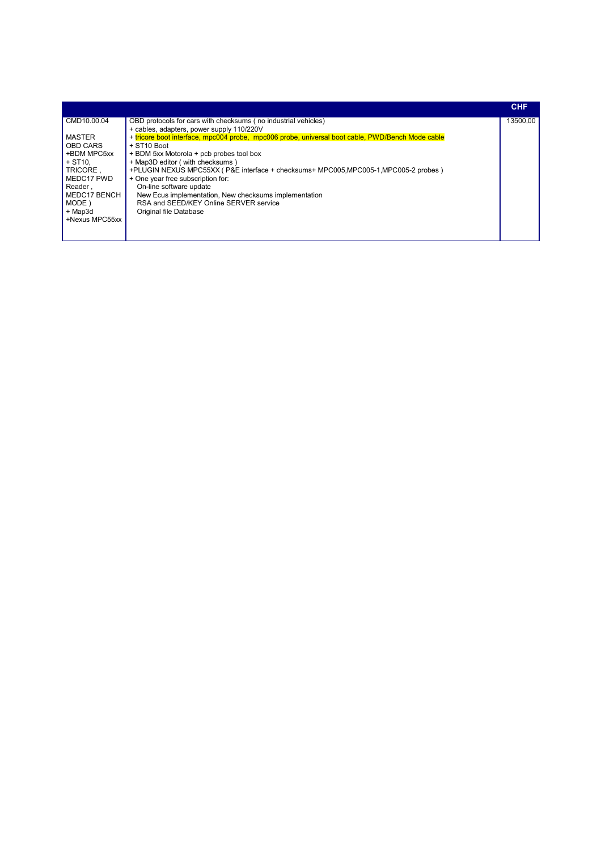|                        |                                                                                                  | <b>CHF</b> |
|------------------------|--------------------------------------------------------------------------------------------------|------------|
| CMD10.00.04            | OBD protocols for cars with checksums (no industrial vehicles)                                   | 13500.00   |
|                        | + cables, adapters, power supply 110/220V                                                        |            |
| MASTER                 | + tricore boot interface, mpc004 probe, mpc006 probe, universal boot cable, PWD/Bench Mode cable |            |
| <b>OBD CARS</b>        | + ST10 Boot                                                                                      |            |
| +BDM MPC5xx            | + BDM 5xx Motorola + pcb probes tool box                                                         |            |
| $+$ ST <sub>10</sub> . | + Map3D editor (with checksums)                                                                  |            |
| TRICORE.               | +PLUGIN NEXUS MPC55XX (P&E interface + checksums+ MPC005, MPC005-1, MPC005-2 probes)             |            |
| MEDC17 PWD             | + One year free subscription for:                                                                |            |
| Reader.                | On-line software update                                                                          |            |
| MEDC17 BENCH           | New Ecus implementation, New checksums implementation                                            |            |
| MODE)                  | RSA and SEED/KEY Online SERVER service                                                           |            |
| + Map3d                | Original file Database                                                                           |            |
| +Nexus MPC55xx         |                                                                                                  |            |
|                        |                                                                                                  |            |
|                        |                                                                                                  |            |